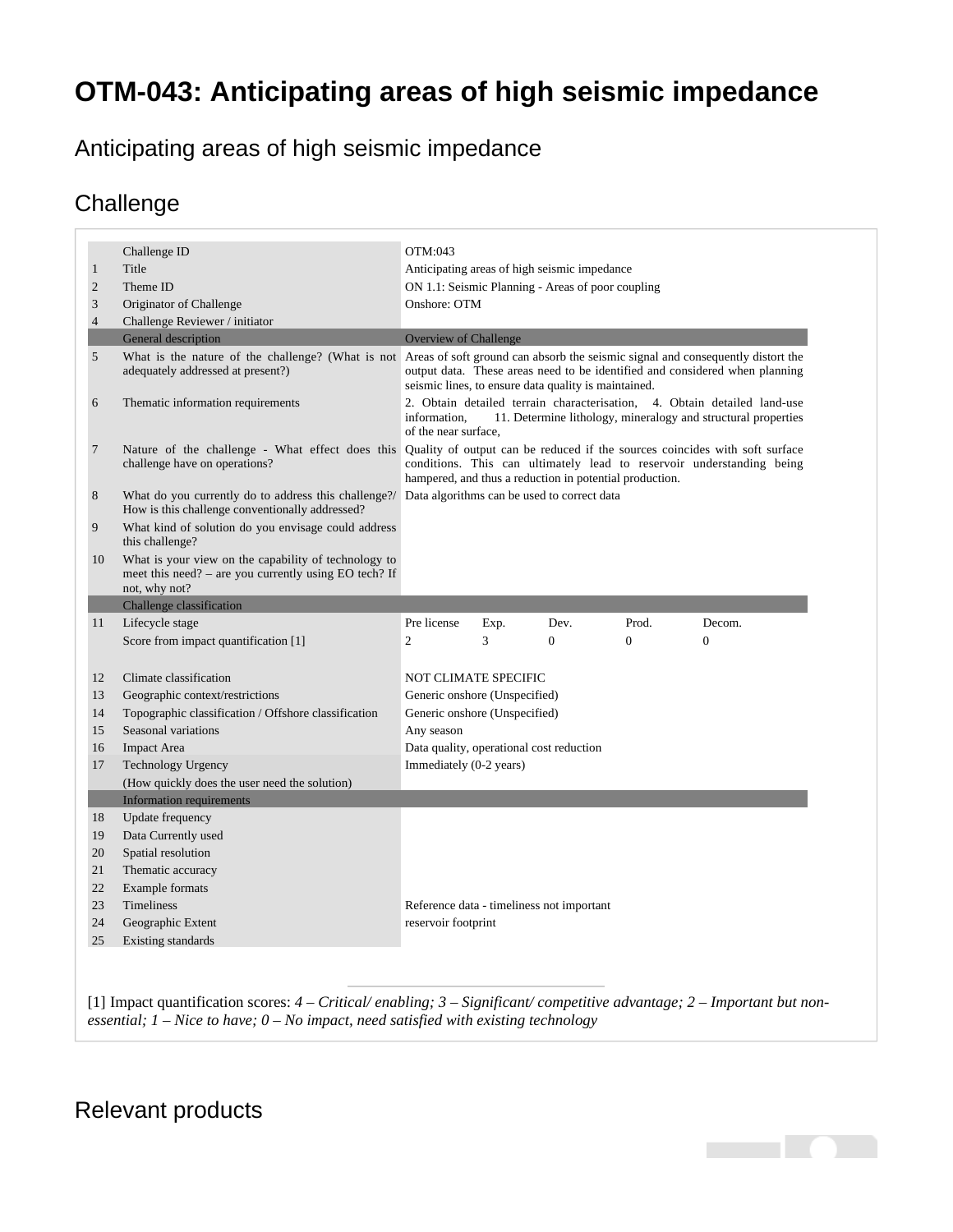## **OTM-043: Anticipating areas of high seismic impedance**

Anticipating areas of high seismic impedance

## **Challenge**

|                | Challenge ID                                                                                                                                        | OTM:043                                                                                                                                                                                                                                                                  |      |          |                |              |
|----------------|-----------------------------------------------------------------------------------------------------------------------------------------------------|--------------------------------------------------------------------------------------------------------------------------------------------------------------------------------------------------------------------------------------------------------------------------|------|----------|----------------|--------------|
| $\mathbf{1}$   | Title                                                                                                                                               | Anticipating areas of high seismic impedance                                                                                                                                                                                                                             |      |          |                |              |
| $\overline{2}$ | Theme ID                                                                                                                                            | ON 1.1: Seismic Planning - Areas of poor coupling                                                                                                                                                                                                                        |      |          |                |              |
| $\mathfrak{Z}$ | Originator of Challenge                                                                                                                             | Onshore: OTM                                                                                                                                                                                                                                                             |      |          |                |              |
| $\overline{4}$ | Challenge Reviewer / initiator                                                                                                                      |                                                                                                                                                                                                                                                                          |      |          |                |              |
|                | General description                                                                                                                                 | <b>Overview of Challenge</b>                                                                                                                                                                                                                                             |      |          |                |              |
| 5              | adequately addressed at present?)                                                                                                                   | What is the nature of the challenge? (What is not Areas of soft ground can absorb the seismic signal and consequently distort the<br>output data. These areas need to be identified and considered when planning<br>seismic lines, to ensure data quality is maintained. |      |          |                |              |
| 6              | Thematic information requirements                                                                                                                   | 2. Obtain detailed terrain characterisation, 4. Obtain detailed land-use<br>information.<br>11. Determine lithology, mineralogy and structural properties<br>of the near surface,                                                                                        |      |          |                |              |
| 7              | challenge have on operations?                                                                                                                       | Nature of the challenge - What effect does this Quality of output can be reduced if the sources coincides with soft surface<br>conditions. This can ultimately lead to reservoir understanding being<br>hampered, and thus a reduction in potential production.          |      |          |                |              |
| 8              | What do you currently do to address this challenge?/ Data algorithms can be used to correct data<br>How is this challenge conventionally addressed? |                                                                                                                                                                                                                                                                          |      |          |                |              |
| 9              | What kind of solution do you envisage could address<br>this challenge?                                                                              |                                                                                                                                                                                                                                                                          |      |          |                |              |
| 10             | What is your view on the capability of technology to<br>meet this need? - are you currently using EO tech? If<br>not, why not?                      |                                                                                                                                                                                                                                                                          |      |          |                |              |
|                | Challenge classification                                                                                                                            |                                                                                                                                                                                                                                                                          |      |          |                |              |
| 11             | Lifecycle stage                                                                                                                                     | Pre license                                                                                                                                                                                                                                                              | Exp. | Dev.     | Prod.          | Decom.       |
|                | Score from impact quantification [1]                                                                                                                | $\overline{c}$                                                                                                                                                                                                                                                           | 3    | $\Omega$ | $\overline{0}$ | $\mathbf{0}$ |
|                |                                                                                                                                                     |                                                                                                                                                                                                                                                                          |      |          |                |              |
| 12             | Climate classification                                                                                                                              | <b>NOT CLIMATE SPECIFIC</b>                                                                                                                                                                                                                                              |      |          |                |              |
| 13             | Geographic context/restrictions                                                                                                                     | Generic onshore (Unspecified)                                                                                                                                                                                                                                            |      |          |                |              |
| 14             | Topographic classification / Offshore classification                                                                                                | Generic onshore (Unspecified)                                                                                                                                                                                                                                            |      |          |                |              |
| 15             | Seasonal variations                                                                                                                                 | Any season                                                                                                                                                                                                                                                               |      |          |                |              |
| 16             | <b>Impact Area</b>                                                                                                                                  | Data quality, operational cost reduction                                                                                                                                                                                                                                 |      |          |                |              |
| 17             | Technology Urgency                                                                                                                                  | Immediately (0-2 years)                                                                                                                                                                                                                                                  |      |          |                |              |
|                | (How quickly does the user need the solution)                                                                                                       |                                                                                                                                                                                                                                                                          |      |          |                |              |
|                | <b>Information requirements</b>                                                                                                                     |                                                                                                                                                                                                                                                                          |      |          |                |              |
| 18             | <b>Update frequency</b>                                                                                                                             |                                                                                                                                                                                                                                                                          |      |          |                |              |
| 19             | Data Currently used                                                                                                                                 |                                                                                                                                                                                                                                                                          |      |          |                |              |
| 20             | Spatial resolution                                                                                                                                  |                                                                                                                                                                                                                                                                          |      |          |                |              |
| 21             | Thematic accuracy                                                                                                                                   |                                                                                                                                                                                                                                                                          |      |          |                |              |
| 22             | Example formats                                                                                                                                     |                                                                                                                                                                                                                                                                          |      |          |                |              |
| 23             | Timeliness                                                                                                                                          | Reference data - timeliness not important                                                                                                                                                                                                                                |      |          |                |              |
| 24             | Geographic Extent                                                                                                                                   | reservoir footprint                                                                                                                                                                                                                                                      |      |          |                |              |
|                |                                                                                                                                                     |                                                                                                                                                                                                                                                                          |      |          |                |              |

<span id="page-0-1"></span><span id="page-0-0"></span>[\[1\]](#page-0-1) Impact quantification scores: *4 – Critical/ enabling; 3 – Significant/ competitive advantage; 2 – Important but nonessential; 1 – Nice to have; 0 – No impact, need satisfied with existing technology*

**Contract** 

## Relevant products